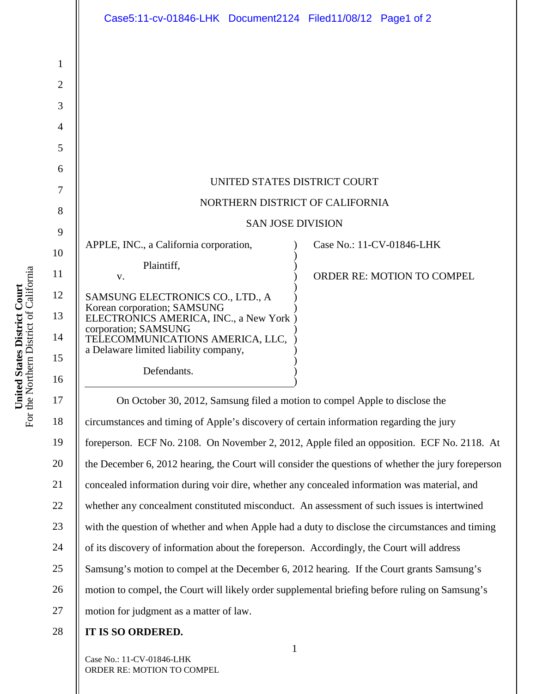|                | Case5:11-cv-01846-LHK Document2124 Filed11/08/12 Page1 of 2                                        |
|----------------|----------------------------------------------------------------------------------------------------|
| 1              |                                                                                                    |
| $\overline{2}$ |                                                                                                    |
| 3              |                                                                                                    |
| $\overline{4}$ |                                                                                                    |
| 5              |                                                                                                    |
| 6              |                                                                                                    |
| 7              | UNITED STATES DISTRICT COURT                                                                       |
| 8              | NORTHERN DISTRICT OF CALIFORNIA                                                                    |
| 9              | <b>SAN JOSE DIVISION</b>                                                                           |
| 10             | APPLE, INC., a California corporation,<br>Case No.: 11-CV-01846-LHK                                |
| 11             | Plaintiff,<br><b>ORDER RE: MOTION TO COMPEL</b><br>V.                                              |
| 12             | SAMSUNG ELECTRONICS CO., LTD., A                                                                   |
| 13             | Korean corporation; SAMSUNG<br>ELECTRONICS AMERICA, INC., a New York)                              |
| 14             | corporation; SAMSUNG<br>TELECOMMUNICATIONS AMERICA, LLC,<br>a Delaware limited liability company,  |
| 15             | Defendants.                                                                                        |
| 16             |                                                                                                    |
| 17             | On October 30, 2012, Samsung filed a motion to compel Apple to disclose the                        |
| 18             | circumstances and timing of Apple's discovery of certain information regarding the jury            |
| 19             | foreperson. ECF No. 2108. On November 2, 2012, Apple filed an opposition. ECF No. 2118. At         |
| 20             | the December 6, 2012 hearing, the Court will consider the questions of whether the jury foreperson |
| 21             | concealed information during voir dire, whether any concealed information was material, and        |
| 22             | whether any concealment constituted misconduct. An assessment of such issues is intertwined        |
| 23             | with the question of whether and when Apple had a duty to disclose the circumstances and timing    |
| 24             | of its discovery of information about the foreperson. Accordingly, the Court will address          |
| 25             | Samsung's motion to compel at the December 6, 2012 hearing. If the Court grants Samsung's          |
| 26             | motion to compel, the Court will likely order supplemental briefing before ruling on Samsung's     |
| 27             | motion for judgment as a matter of law.                                                            |
| 28             | IT IS SO ORDERED.                                                                                  |

1

Case No.: 11-CV-01846-LHK ORDER RE: MOTION TO COMPEL